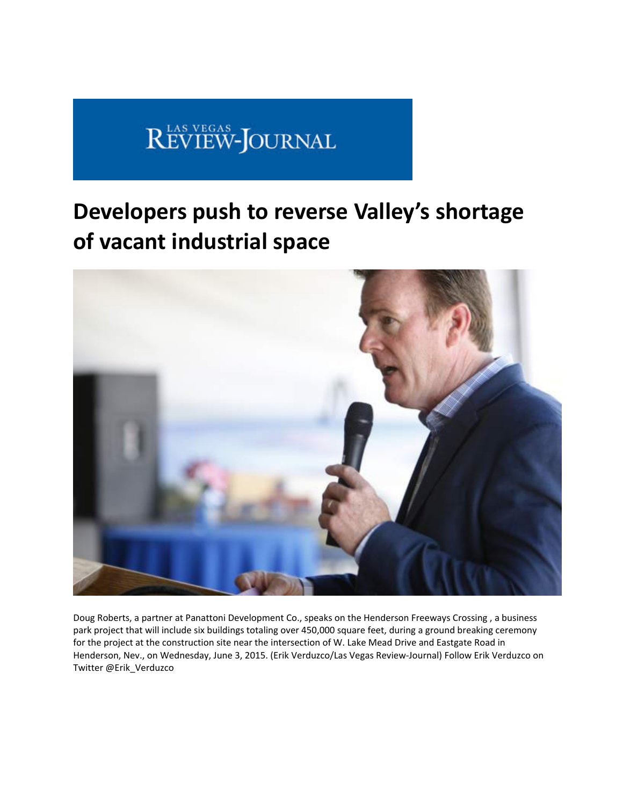# REVIEW-JOURNAL

## **Developers push to reverse Valley's shortage of vacant industrial space**



Doug Roberts, a partner at Panattoni Development Co., speaks on the Henderson Freeways Crossing , a business park project that will include six buildings totaling over 450,000 square feet, during a ground breaking ceremony for the project at the construction site near the intersection of W. Lake Mead Drive and Eastgate Road in Henderson, Nev., on Wednesday, June 3, 2015. (Erik Verduzco/Las Vegas Review‐Journal) Follow Erik Verduzco on Twitter @Erik\_Verduzco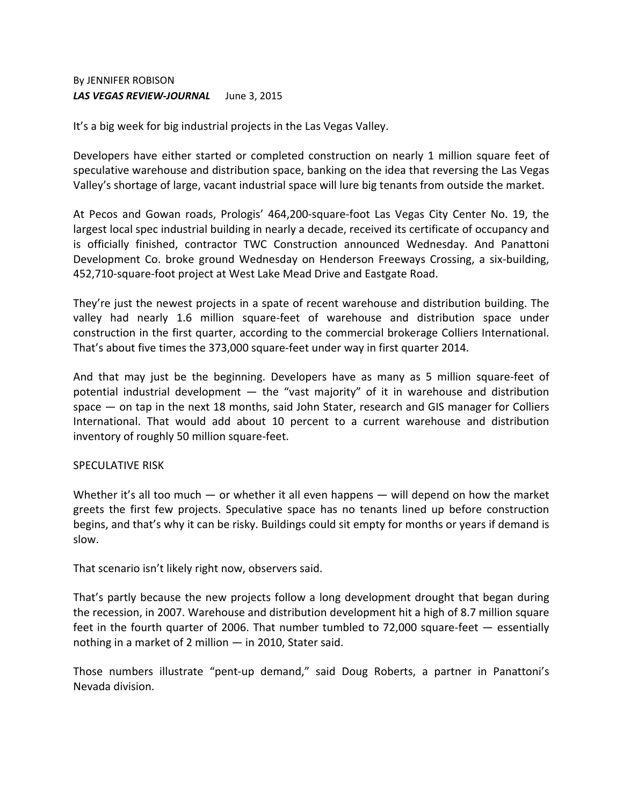### By JENNIFER ROBISON *LAS VEGAS REVIEW‐JOURNAL*June 3, 2015

It's a big week for big industrial projects in the Las Vegas Valley.

Developers have either started or completed construction on nearly 1 million square feet of speculative warehouse and distribution space, banking on the idea that reversing the Las Vegas Valley's shortage of large, vacant industrial space will lure big tenants from outside the market.

At Pecos and Gowan roads, Prologis' 464,200‐square‐foot Las Vegas City Center No. 19, the largest local spec industrial building in nearly a decade, received its certificate of occupancy and is officially finished, contractor TWC Construction announced Wednesday. And Panattoni Development Co. broke ground Wednesday on Henderson Freeways Crossing, a six‐building, 452,710‐square‐foot project at West Lake Mead Drive and Eastgate Road.

They're just the newest projects in a spate of recent warehouse and distribution building. The valley had nearly 1.6 million square-feet of warehouse and distribution space under construction in the first quarter, according to the commercial brokerage Colliers International. That's about five times the 373,000 square‐feet under way in first quarter 2014.

And that may just be the beginning. Developers have as many as 5 million square‐feet of potential industrial development — the "vast majority" of it in warehouse and distribution space — on tap in the next 18 months, said John Stater, research and GIS manager for Colliers International. That would add about 10 percent to a current warehouse and distribution inventory of roughly 50 million square‐feet.

### SPECULATIVE RISK

Whether it's all too much — or whether it all even happens — will depend on how the market greets the first few projects. Speculative space has no tenants lined up before construction begins, and that's why it can be risky. Buildings could sit empty for months or years if demand is slow.

That scenario isn't likely right now, observers said.

That's partly because the new projects follow a long development drought that began during the recession, in 2007. Warehouse and distribution development hit a high of 8.7 million square feet in the fourth quarter of 2006. That number tumbled to 72,000 square‐feet — essentially nothing in a market of 2 million — in 2010, Stater said.

Those numbers illustrate "pent‐up demand," said Doug Roberts, a partner in Panattoni's Nevada division.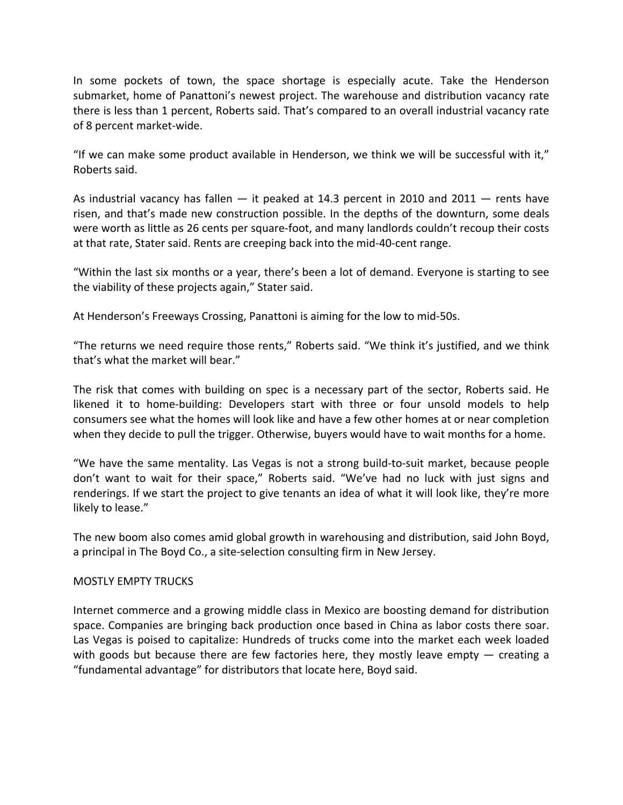In some pockets of town, the space shortage is especially acute. Take the Henderson submarket, home of Panattoni's newest project. The warehouse and distribution vacancy rate there is less than 1 percent, Roberts said. That's compared to an overall industrial vacancy rate of 8 percent market‐wide.

"If we can make some product available in Henderson, we think we will be successful with it," Roberts said.

As industrial vacancy has fallen  $-$  it peaked at 14.3 percent in 2010 and 2011  $-$  rents have risen, and that's made new construction possible. In the depths of the downturn, some deals were worth as little as 26 cents per square-foot, and many landlords couldn't recoup their costs at that rate, Stater said. Rents are creeping back into the mid‐40‐cent range.

"Within the last six months or a year, there's been a lot of demand. Everyone is starting to see the viability of these projects again," Stater said.

At Henderson's Freeways Crossing, Panattoni is aiming for the low to mid‐50s.

"The returns we need require those rents," Roberts said. "We think it's justified, and we think that's what the market will bear."

The risk that comes with building on spec is a necessary part of the sector, Roberts said. He likened it to home‐building: Developers start with three or four unsold models to help consumers see what the homes will look like and have a few other homes at or near completion when they decide to pull the trigger. Otherwise, buyers would have to wait months for a home.

"We have the same mentality. Las Vegas is not a strong build‐to‐suit market, because people don't want to wait for their space," Roberts said. "We've had no luck with just signs and renderings. If we start the project to give tenants an idea of what it will look like, they're more likely to lease."

The new boom also comes amid global growth in warehousing and distribution, said John Boyd, a principal in The Boyd Co., a site‐selection consulting firm in New Jersey.

#### MOSTLY EMPTY TRUCKS

Internet commerce and a growing middle class in Mexico are boosting demand for distribution space. Companies are bringing back production once based in China as labor costs there soar. Las Vegas is poised to capitalize: Hundreds of trucks come into the market each week loaded with goods but because there are few factories here, they mostly leave empty  $-$  creating a "fundamental advantage" for distributors that locate here, Boyd said.